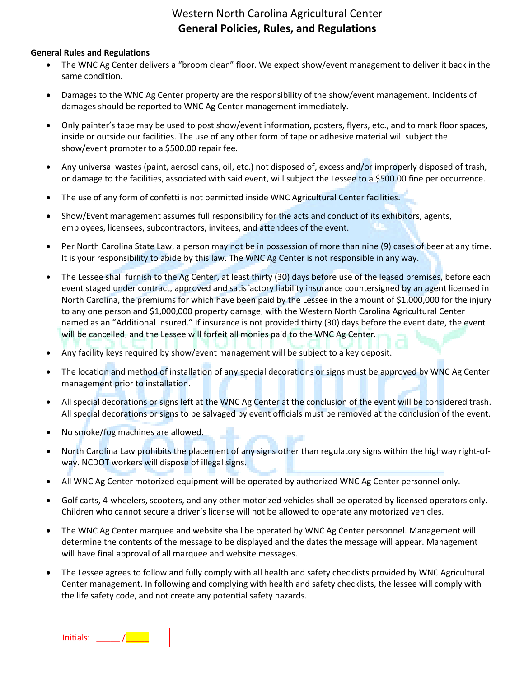## Western North Carolina Agricultural Center **General Policies, Rules, and Regulations**

#### **General Rules and Regulations**

- The WNC Ag Center delivers a "broom clean" floor. We expect show/event management to deliver it back in the same condition.
- Damages to the WNC Ag Center property are the responsibility of the show/event management. Incidents of damages should be reported to WNC Ag Center management immediately.
- Only painter's tape may be used to post show/event information, posters, flyers, etc., and to mark floor spaces, inside or outside our facilities. The use of any other form of tape or adhesive material will subject the show/event promoter to a \$500.00 repair fee.
- Any universal wastes (paint, aerosol cans, oil, etc.) not disposed of, excess and/or improperly disposed of trash, or damage to the facilities, associated with said event, will subject the Lessee to a \$500.00 fine per occurrence.
- The use of any form of confetti is not permitted inside WNC Agricultural Center facilities.
- Show/Event management assumes full responsibility for the acts and conduct of its exhibitors, agents, employees, licensees, subcontractors, invitees, and attendees of the event.
- Per North Carolina State Law, a person may not be in possession of more than nine (9) cases of beer at any time. It is your responsibility to abide by this law. The WNC Ag Center is not responsible in any way.
- The Lessee shall furnish to the Ag Center, at least thirty (30) days before use of the leased premises, before each event staged under contract, approved and satisfactory liability insurance countersigned by an agent licensed in North Carolina, the premiums for which have been paid by the Lessee in the amount of \$1,000,000 for the injury to any one person and \$1,000,000 property damage, with the Western North Carolina Agricultural Center named as an "Additional Insured." If insurance is not provided thirty (30) days before the event date, the event will be cancelled, and the Lessee will forfeit all monies paid to the WNC Ag Center.
- Any facility keys required by show/event management will be subject to a key deposit.
- The location and method of installation of any special decorations or signs must be approved by WNC Ag Center management prior to installation.
- All special decorations or signs left at the WNC Ag Center at the conclusion of the event will be considered trash. All special decorations or signs to be salvaged by event officials must be removed at the conclusion of the event.
- No smoke/fog machines are allowed.
- North Carolina Law prohibits the placement of any signs other than regulatory signs within the highway right-ofway. NCDOT workers will dispose of illegal signs.
- All WNC Ag Center motorized equipment will be operated by authorized WNC Ag Center personnel only.
- Golf carts, 4-wheelers, scooters, and any other motorized vehicles shall be operated by licensed operators only. Children who cannot secure a driver's license will not be allowed to operate any motorized vehicles.
- The WNC Ag Center marquee and website shall be operated by WNC Ag Center personnel. Management will determine the contents of the message to be displayed and the dates the message will appear. Management will have final approval of all marquee and website messages.
- The Lessee agrees to follow and fully comply with all health and safety checklists provided by WNC Agricultural Center management. In following and complying with health and safety checklists, the lessee will comply with the life safety code, and not create any potential safety hazards.